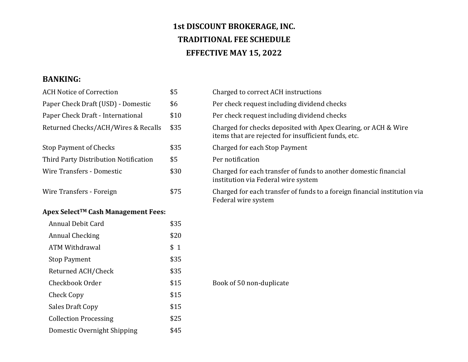## **1st DISCOUNT BROKERAGE, INC. TRADITIONAL FEE SCHEDULE EFFECTIVE MAY 15, 2022**

## **BANKING:**

| <b>ACH Notice of Correction</b>       | \$5  | Charged to correct ACH instructions                                                                                    |
|---------------------------------------|------|------------------------------------------------------------------------------------------------------------------------|
| Paper Check Draft (USD) - Domestic    | \$6  | Per check request including dividend checks                                                                            |
| Paper Check Draft - International     | \$10 | Per check request including dividend checks                                                                            |
| Returned Checks/ACH/Wires & Recalls   | \$35 | Charged for checks deposited with Apex Clearing, or ACH & Wire<br>items that are rejected for insufficient funds, etc. |
| <b>Stop Payment of Checks</b>         | \$35 | Charged for each Stop Payment                                                                                          |
| Third Party Distribution Notification | \$5  | Per notification                                                                                                       |
| <b>Wire Transfers - Domestic</b>      | \$30 | Charged for each transfer of funds to another domestic financial<br>institution via Federal wire system                |
| Wire Transfers - Foreign              | \$75 | Charged for each transfer of funds to a foreign financial institution via<br>Federal wire system                       |
| Apex Select™ Cash Management Fees:    |      |                                                                                                                        |
| <b>Annual Debit Card</b>              | \$35 |                                                                                                                        |
| <b>Annual Checking</b>                | \$20 |                                                                                                                        |
| <b>ATM Withdrawal</b>                 | \$1  |                                                                                                                        |
| <b>Stop Payment</b>                   | \$35 |                                                                                                                        |
| Returned ACH/Check                    | \$35 |                                                                                                                        |
| Checkbook Order                       | \$15 | Book of 50 non-duplicate                                                                                               |
| <b>Check Copy</b>                     | \$15 |                                                                                                                        |
| <b>Sales Draft Copy</b>               | \$15 |                                                                                                                        |
| <b>Collection Processing</b>          | \$25 |                                                                                                                        |
| Domestic Overnight Shipping           | \$45 |                                                                                                                        |
|                                       |      |                                                                                                                        |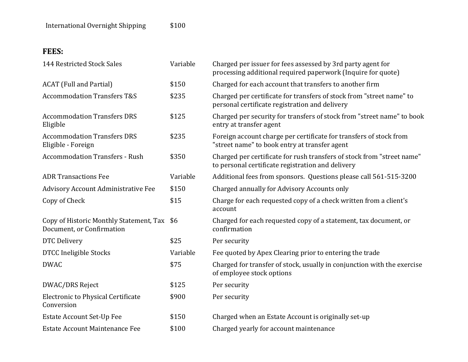## **FEES:**

| 144 Restricted Stock Sales                                           | Variable | Charged per issuer for fees assessed by 3rd party agent for<br>processing additional required paperwork (Inquire for quote) |
|----------------------------------------------------------------------|----------|-----------------------------------------------------------------------------------------------------------------------------|
| <b>ACAT</b> (Full and Partial)                                       | \$150    | Charged for each account that transfers to another firm                                                                     |
| <b>Accommodation Transfers T&amp;S</b>                               | \$235    | Charged per certificate for transfers of stock from "street name" to<br>personal certificate registration and delivery      |
| <b>Accommodation Transfers DRS</b><br>Eligible                       | \$125    | Charged per security for transfers of stock from "street name" to book<br>entry at transfer agent                           |
| <b>Accommodation Transfers DRS</b><br>Eligible - Foreign             | \$235    | Foreign account charge per certificate for transfers of stock from<br>"street name" to book entry at transfer agent         |
| <b>Accommodation Transfers - Rush</b>                                | \$350    | Charged per certificate for rush transfers of stock from "street name"<br>to personal certificate registration and delivery |
| <b>ADR Transactions Fee</b>                                          | Variable | Additional fees from sponsors. Questions please call 561-515-3200                                                           |
| <b>Advisory Account Administrative Fee</b>                           | \$150    | Charged annually for Advisory Accounts only                                                                                 |
| Copy of Check                                                        | \$15     | Charge for each requested copy of a check written from a client's<br>account                                                |
| Copy of Historic Monthly Statement, Tax<br>Document, or Confirmation | \$6      | Charged for each requested copy of a statement, tax document, or<br>confirmation                                            |
| DTC Delivery                                                         | \$25     | Per security                                                                                                                |
| <b>DTCC Ineligible Stocks</b>                                        | Variable | Fee quoted by Apex Clearing prior to entering the trade                                                                     |
| <b>DWAC</b>                                                          | \$75     | Charged for transfer of stock, usually in conjunction with the exercise<br>of employee stock options                        |
| DWAC/DRS Reject                                                      | \$125    | Per security                                                                                                                |
| Electronic to Physical Certificate<br>Conversion                     | \$900    | Per security                                                                                                                |
| <b>Estate Account Set-Up Fee</b>                                     | \$150    | Charged when an Estate Account is originally set-up                                                                         |
| Estate Account Maintenance Fee                                       | \$100    | Charged yearly for account maintenance                                                                                      |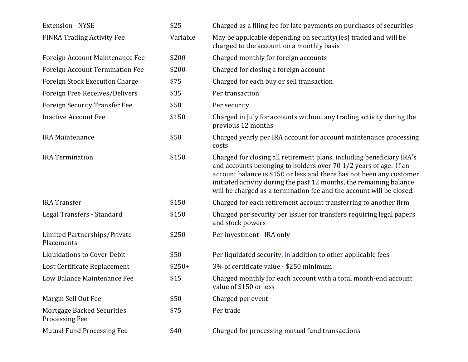| <b>Extension - NYSE</b>                             | \$25     | Charged as a filing fee for late payments on purchases of securities                                                                                                                                                                                                                                                                                              |
|-----------------------------------------------------|----------|-------------------------------------------------------------------------------------------------------------------------------------------------------------------------------------------------------------------------------------------------------------------------------------------------------------------------------------------------------------------|
| <b>FINRA Trading Activity Fee</b>                   | Variable | May be applicable depending on security (ies) traded and will be<br>charged to the account on a monthly basis                                                                                                                                                                                                                                                     |
| Foreign Account Maintenance Fee                     | \$200    | Charged monthly for foreign accounts                                                                                                                                                                                                                                                                                                                              |
| <b>Foreign Account Termination Fee</b>              | \$200    | Charged for closing a foreign account                                                                                                                                                                                                                                                                                                                             |
| <b>Foreign Stock Execution Charge</b>               | \$75     | Charged for each buy or sell transaction                                                                                                                                                                                                                                                                                                                          |
| Foreign Free Receives/Delivers                      | \$35     | Per transaction                                                                                                                                                                                                                                                                                                                                                   |
| <b>Foreign Security Transfer Fee</b>                | \$50     | Per security                                                                                                                                                                                                                                                                                                                                                      |
| <b>Inactive Account Fee</b>                         | \$150    | Charged in July for accounts without any trading activity during the<br>previous 12 months                                                                                                                                                                                                                                                                        |
| <b>IRA Maintenance</b>                              | \$50     | Charged yearly per IRA account for account maintenance processing<br>costs                                                                                                                                                                                                                                                                                        |
| <b>IRA Termination</b>                              | \$150    | Charged for closing all retirement plans, including beneficiary IRA's<br>and accounts belonging to holders over 70 1/2 years of age. If an<br>account balance is \$150 or less and there has not been any customer<br>initiated activity during the past 12 months, the remaining balance<br>will be charged as a termination fee and the account will be closed. |
| <b>IRA</b> Transfer                                 | \$150    | Charged for each retirement account transferring to another firm                                                                                                                                                                                                                                                                                                  |
| Legal Transfers - Standard                          | \$150    | Charged per security per issuer for transfers requiring legal papers<br>and stock powers                                                                                                                                                                                                                                                                          |
| Limited Partnerships/Private<br>Placements          | \$250    | Per investment - IRA only                                                                                                                                                                                                                                                                                                                                         |
| Liquidations to Cover Debit                         | \$50     | Per liquidated security, in addition to other applicable fees                                                                                                                                                                                                                                                                                                     |
| Lost Certificate Replacement                        | $$250+$  | 3% of certificate value - \$250 minimum                                                                                                                                                                                                                                                                                                                           |
| Low Balance Maintenance Fee                         | \$15     | Charged monthly for each account with a total month-end account<br>value of \$150 or less                                                                                                                                                                                                                                                                         |
| Margin Sell Out Fee                                 | \$50     | Charged per event                                                                                                                                                                                                                                                                                                                                                 |
| Mortgage Backed Securities<br><b>Processing Fee</b> | \$75     | Per trade                                                                                                                                                                                                                                                                                                                                                         |
| <b>Mutual Fund Processing Fee</b>                   | \$40     | Charged for processing mutual fund transactions                                                                                                                                                                                                                                                                                                                   |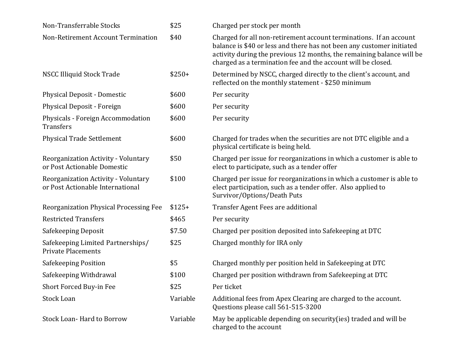| Non-Transferrable Stocks                                                | \$25     | Charged per stock per month                                                                                                                                                                                                                                                          |
|-------------------------------------------------------------------------|----------|--------------------------------------------------------------------------------------------------------------------------------------------------------------------------------------------------------------------------------------------------------------------------------------|
| Non-Retirement Account Termination                                      | \$40     | Charged for all non-retirement account terminations. If an account<br>balance is \$40 or less and there has not been any customer initiated<br>activity during the previous 12 months, the remaining balance will be<br>charged as a termination fee and the account will be closed. |
| <b>NSCC Illiquid Stock Trade</b>                                        | $$250+$  | Determined by NSCC, charged directly to the client's account, and<br>reflected on the monthly statement - \$250 minimum                                                                                                                                                              |
| Physical Deposit - Domestic                                             | \$600    | Per security                                                                                                                                                                                                                                                                         |
| Physical Deposit - Foreign                                              | \$600    | Per security                                                                                                                                                                                                                                                                         |
| Physicals - Foreign Accommodation<br><b>Transfers</b>                   | \$600    | Per security                                                                                                                                                                                                                                                                         |
| <b>Physical Trade Settlement</b>                                        | \$600    | Charged for trades when the securities are not DTC eligible and a<br>physical certificate is being held.                                                                                                                                                                             |
| Reorganization Activity - Voluntary<br>or Post Actionable Domestic      | \$50     | Charged per issue for reorganizations in which a customer is able to<br>elect to participate, such as a tender offer                                                                                                                                                                 |
| Reorganization Activity - Voluntary<br>or Post Actionable International | \$100    | Charged per issue for reorganizations in which a customer is able to<br>elect participation, such as a tender offer. Also applied to<br>Survivor/Options/Death Puts                                                                                                                  |
| Reorganization Physical Processing Fee                                  | $$125+$  | Transfer Agent Fees are additional                                                                                                                                                                                                                                                   |
| <b>Restricted Transfers</b>                                             | \$465    | Per security                                                                                                                                                                                                                                                                         |
| Safekeeping Deposit                                                     | \$7.50   | Charged per position deposited into Safekeeping at DTC                                                                                                                                                                                                                               |
| Safekeeping Limited Partnerships/<br><b>Private Placements</b>          | \$25     | Charged monthly for IRA only                                                                                                                                                                                                                                                         |
| Safekeeping Position                                                    | \$5      | Charged monthly per position held in Safekeeping at DTC                                                                                                                                                                                                                              |
| Safekeeping Withdrawal                                                  | \$100    | Charged per position withdrawn from Safekeeping at DTC                                                                                                                                                                                                                               |
| Short Forced Buy-in Fee                                                 | \$25     | Per ticket                                                                                                                                                                                                                                                                           |
| <b>Stock Loan</b>                                                       | Variable | Additional fees from Apex Clearing are charged to the account.<br>Questions please call 561-515-3200                                                                                                                                                                                 |
| <b>Stock Loan-Hard to Borrow</b>                                        | Variable | May be applicable depending on security (ies) traded and will be<br>charged to the account                                                                                                                                                                                           |